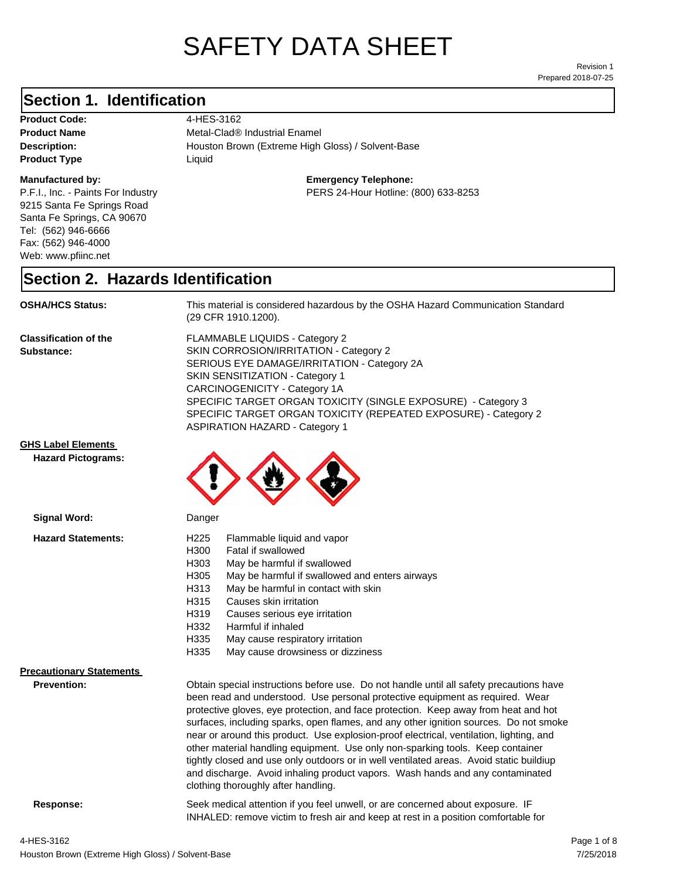# SAFETY DATA SHEET

Prepared 2018-07-25 Revision 1

#### **Section 1. Identification**

Product Code: 4-HES-3162 **Product Type Liquid Liquid** 

#### **Manufactured by:**

P.F.I., Inc. - Paints For Industry 9215 Santa Fe Springs Road Santa Fe Springs, CA 90670 Tel: (562) 946-6666 Fax: (562) 946-4000 Web: www.pfiinc.net

**Description:** Houston Brown (Extreme High Gloss) / Solvent-Base **Product Name** Metal-Clad<sup>®</sup> Industrial Enamel

**Emergency Telephone:**

PERS 24-Hour Hotline: (800) 633-8253

#### **Section 2. Hazards Identification**

**OSHA/HCS Status:** This material is considered hazardous by the OSHA Hazard Communication Standard (29 CFR 1910.1200).

**Classification of the Substance:**

FLAMMABLE LIQUIDS - Category 2 SKIN CORROSION/IRRITATION - Category 2 SERIOUS EYE DAMAGE/IRRITATION - Category 2A SKIN SENSITIZATION - Category 1 CARCINOGENICITY - Category 1A SPECIFIC TARGET ORGAN TOXICITY (SINGLE EXPOSURE) - Category 3 SPECIFIC TARGET ORGAN TOXICITY (REPEATED EXPOSURE) - Category 2 ASPIRATION HAZARD - Category 1

#### **GHS Label Elements**

**Signal Word:**

**Hazard Pictograms:**



| <b>Hazard Statements:</b>       | H <sub>225</sub>                                                                        | Flammable liquid and vapor                                                              |  |
|---------------------------------|-----------------------------------------------------------------------------------------|-----------------------------------------------------------------------------------------|--|
|                                 | H300                                                                                    | Fatal if swallowed                                                                      |  |
|                                 | H303                                                                                    | May be harmful if swallowed                                                             |  |
|                                 | H305                                                                                    | May be harmful if swallowed and enters airways                                          |  |
|                                 | H313                                                                                    | May be harmful in contact with skin                                                     |  |
|                                 | H315                                                                                    | Causes skin irritation                                                                  |  |
|                                 | H319                                                                                    | Causes serious eye irritation                                                           |  |
|                                 | H332                                                                                    | Harmful if inhaled                                                                      |  |
|                                 | H335                                                                                    | May cause respiratory irritation                                                        |  |
|                                 | H335                                                                                    | May cause drowsiness or dizziness                                                       |  |
| <b>Precautionary Statements</b> |                                                                                         |                                                                                         |  |
| <b>Prevention:</b>              |                                                                                         | Obtain special instructions before use. Do not handle until all safety precautions have |  |
|                                 |                                                                                         | been read and understood. Use personal protective equipment as required. Wear           |  |
|                                 | protective gloves, eye protection, and face protection. Keep away from heat and hot     |                                                                                         |  |
|                                 | surfaces, including sparks, open flames, and any other ignition sources. Do not smoke   |                                                                                         |  |
|                                 | near or around this product. Use explosion-proof electrical, ventilation, lighting, and |                                                                                         |  |
|                                 | other material handling equipment. Use only non-sparking tools. Keep container          |                                                                                         |  |
|                                 | tightly closed and use only outdoors or in well ventilated areas. Avoid static buildiup |                                                                                         |  |
|                                 | and discharge. Avoid inhaling product vapors. Wash hands and any contaminated           |                                                                                         |  |

clothing thoroughly after handling.

**Response:** Seek medical attention if you feel unwell, or are concerned about exposure. IF INHALED: remove victim to fresh air and keep at rest in a position comfortable for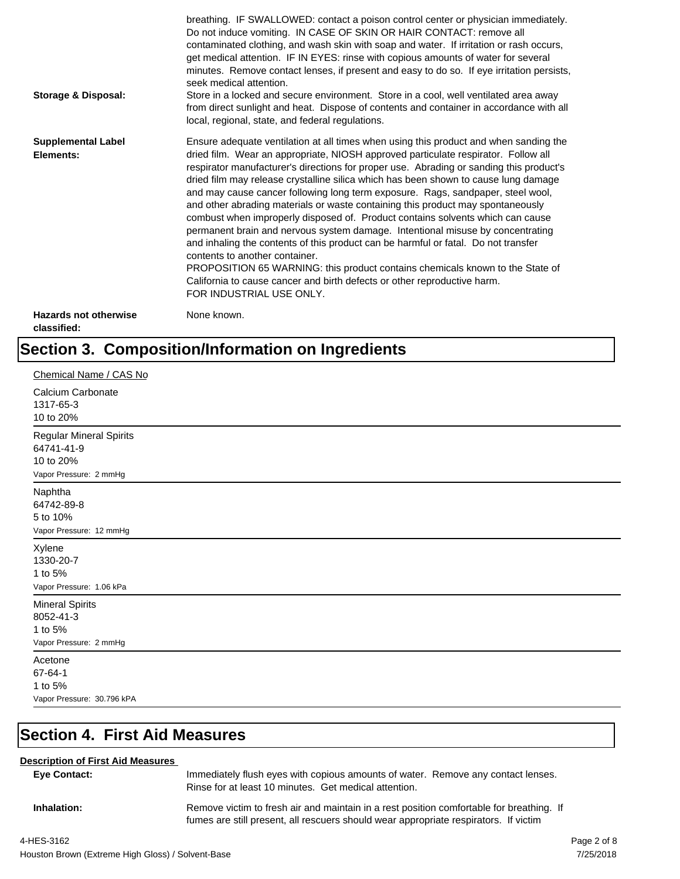| <b>Storage &amp; Disposal:</b>              | breathing. IF SWALLOWED: contact a poison control center or physician immediately.<br>Do not induce vomiting. IN CASE OF SKIN OR HAIR CONTACT: remove all<br>contaminated clothing, and wash skin with soap and water. If irritation or rash occurs,<br>get medical attention. IF IN EYES: rinse with copious amounts of water for several<br>minutes. Remove contact lenses, if present and easy to do so. If eye irritation persists,<br>seek medical attention.<br>Store in a locked and secure environment. Store in a cool, well ventilated area away<br>from direct sunlight and heat. Dispose of contents and container in accordance with all<br>local, regional, state, and federal regulations.                                                                                                                                                                                                                                                                                                                |
|---------------------------------------------|--------------------------------------------------------------------------------------------------------------------------------------------------------------------------------------------------------------------------------------------------------------------------------------------------------------------------------------------------------------------------------------------------------------------------------------------------------------------------------------------------------------------------------------------------------------------------------------------------------------------------------------------------------------------------------------------------------------------------------------------------------------------------------------------------------------------------------------------------------------------------------------------------------------------------------------------------------------------------------------------------------------------------|
| <b>Supplemental Label</b><br>Elements:      | Ensure adequate ventilation at all times when using this product and when sanding the<br>dried film. Wear an appropriate, NIOSH approved particulate respirator. Follow all<br>respirator manufacturer's directions for proper use. Abrading or sanding this product's<br>dried film may release crystalline silica which has been shown to cause lung damage<br>and may cause cancer following long term exposure. Rags, sandpaper, steel wool,<br>and other abrading materials or waste containing this product may spontaneously<br>combust when improperly disposed of. Product contains solvents which can cause<br>permanent brain and nervous system damage. Intentional misuse by concentrating<br>and inhaling the contents of this product can be harmful or fatal. Do not transfer<br>contents to another container.<br>PROPOSITION 65 WARNING: this product contains chemicals known to the State of<br>California to cause cancer and birth defects or other reproductive harm.<br>FOR INDUSTRIAL USE ONLY. |
| <b>Hazards not otherwise</b><br>classified: | None known.                                                                                                                                                                                                                                                                                                                                                                                                                                                                                                                                                                                                                                                                                                                                                                                                                                                                                                                                                                                                              |

## **Section 3. Composition/Information on Ingredients**

| Chemical Name / CAS No                                                       |
|------------------------------------------------------------------------------|
| Calcium Carbonate<br>1317-65-3<br>10 to 20%                                  |
| Regular Mineral Spirits<br>64741-41-9<br>10 to 20%<br>Vapor Pressure: 2 mmHg |
| Naphtha<br>64742-89-8<br>5 to 10%<br>Vapor Pressure: 12 mmHg                 |
| Xylene<br>1330-20-7<br>1 to 5%<br>Vapor Pressure: 1.06 kPa                   |
| <b>Mineral Spirits</b><br>8052-41-3<br>1 to 5%<br>Vapor Pressure: 2 mmHg     |
| Acetone<br>67-64-1<br>1 to 5%<br>Vapor Pressure: 30.796 kPA                  |

## **Section 4. First Aid Measures**

#### **Description of First Aid Measures**

| Eye Contact: | Immediately flush eyes with copious amounts of water. Remove any contact lenses.<br>Rinse for at least 10 minutes. Get medical attention.                                        |
|--------------|----------------------------------------------------------------------------------------------------------------------------------------------------------------------------------|
| Inhalation:  | Remove victim to fresh air and maintain in a rest position comfortable for breathing. If<br>fumes are still present, all rescuers should wear appropriate respirators. If victim |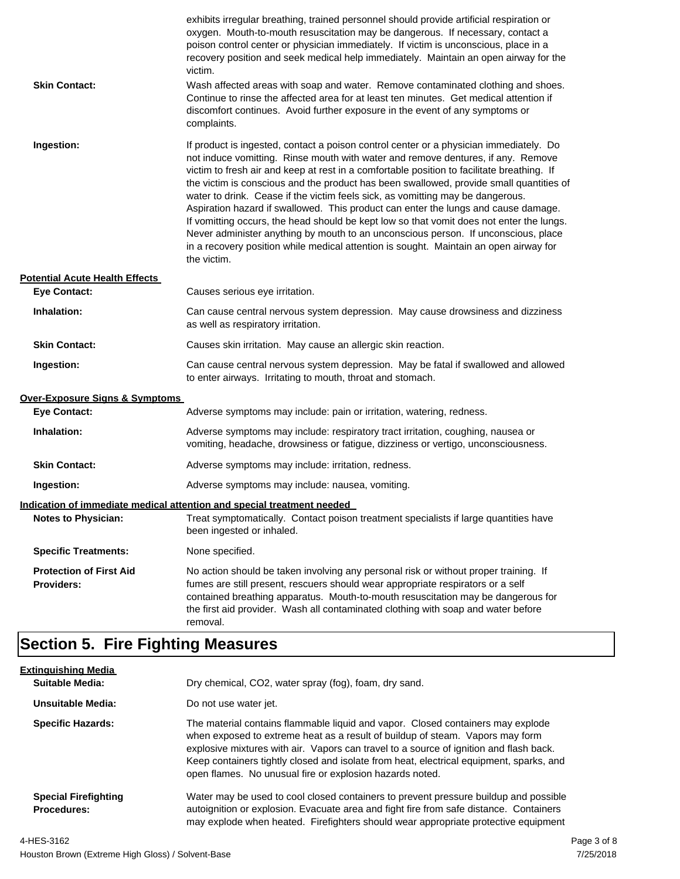| <b>Skin Contact:</b>                                | exhibits irregular breathing, trained personnel should provide artificial respiration or<br>oxygen. Mouth-to-mouth resuscitation may be dangerous. If necessary, contact a<br>poison control center or physician immediately. If victim is unconscious, place in a<br>recovery position and seek medical help immediately. Maintain an open airway for the<br>victim.<br>Wash affected areas with soap and water. Remove contaminated clothing and shoes.<br>Continue to rinse the affected area for at least ten minutes. Get medical attention if<br>discomfort continues. Avoid further exposure in the event of any symptoms or<br>complaints.                                                                                                                                                                                    |
|-----------------------------------------------------|---------------------------------------------------------------------------------------------------------------------------------------------------------------------------------------------------------------------------------------------------------------------------------------------------------------------------------------------------------------------------------------------------------------------------------------------------------------------------------------------------------------------------------------------------------------------------------------------------------------------------------------------------------------------------------------------------------------------------------------------------------------------------------------------------------------------------------------|
| Ingestion:                                          | If product is ingested, contact a poison control center or a physician immediately. Do<br>not induce vomitting. Rinse mouth with water and remove dentures, if any. Remove<br>victim to fresh air and keep at rest in a comfortable position to facilitate breathing. If<br>the victim is conscious and the product has been swallowed, provide small quantities of<br>water to drink. Cease if the victim feels sick, as vomitting may be dangerous.<br>Aspiration hazard if swallowed. This product can enter the lungs and cause damage.<br>If vomitting occurs, the head should be kept low so that vomit does not enter the lungs.<br>Never administer anything by mouth to an unconscious person. If unconscious, place<br>in a recovery position while medical attention is sought. Maintain an open airway for<br>the victim. |
| <b>Potential Acute Health Effects</b>               |                                                                                                                                                                                                                                                                                                                                                                                                                                                                                                                                                                                                                                                                                                                                                                                                                                       |
| <b>Eye Contact:</b>                                 | Causes serious eye irritation.                                                                                                                                                                                                                                                                                                                                                                                                                                                                                                                                                                                                                                                                                                                                                                                                        |
| Inhalation:                                         | Can cause central nervous system depression. May cause drowsiness and dizziness<br>as well as respiratory irritation.                                                                                                                                                                                                                                                                                                                                                                                                                                                                                                                                                                                                                                                                                                                 |
| <b>Skin Contact:</b>                                | Causes skin irritation. May cause an allergic skin reaction.                                                                                                                                                                                                                                                                                                                                                                                                                                                                                                                                                                                                                                                                                                                                                                          |
| Ingestion:                                          | Can cause central nervous system depression. May be fatal if swallowed and allowed<br>to enter airways. Irritating to mouth, throat and stomach.                                                                                                                                                                                                                                                                                                                                                                                                                                                                                                                                                                                                                                                                                      |
| <b>Over-Exposure Signs &amp; Symptoms</b>           |                                                                                                                                                                                                                                                                                                                                                                                                                                                                                                                                                                                                                                                                                                                                                                                                                                       |
| <b>Eye Contact:</b>                                 | Adverse symptoms may include: pain or irritation, watering, redness.                                                                                                                                                                                                                                                                                                                                                                                                                                                                                                                                                                                                                                                                                                                                                                  |
| Inhalation:                                         | Adverse symptoms may include: respiratory tract irritation, coughing, nausea or<br>vomiting, headache, drowsiness or fatigue, dizziness or vertigo, unconsciousness.                                                                                                                                                                                                                                                                                                                                                                                                                                                                                                                                                                                                                                                                  |
| <b>Skin Contact:</b>                                | Adverse symptoms may include: irritation, redness.                                                                                                                                                                                                                                                                                                                                                                                                                                                                                                                                                                                                                                                                                                                                                                                    |
| Ingestion:                                          | Adverse symptoms may include: nausea, vomiting.                                                                                                                                                                                                                                                                                                                                                                                                                                                                                                                                                                                                                                                                                                                                                                                       |
|                                                     | Indication of immediate medical attention and special treatment needed                                                                                                                                                                                                                                                                                                                                                                                                                                                                                                                                                                                                                                                                                                                                                                |
| <b>Notes to Physician:</b>                          | Treat symptomatically. Contact poison treatment specialists if large quantities have<br>been ingested or inhaled.                                                                                                                                                                                                                                                                                                                                                                                                                                                                                                                                                                                                                                                                                                                     |
| <b>Specific Treatments:</b>                         | None specified.                                                                                                                                                                                                                                                                                                                                                                                                                                                                                                                                                                                                                                                                                                                                                                                                                       |
| <b>Protection of First Aid</b><br><b>Providers:</b> | No action should be taken involving any personal risk or without proper training. If<br>fumes are still present, rescuers should wear appropriate respirators or a self<br>contained breathing apparatus. Mouth-to-mouth resuscitation may be dangerous for<br>the first aid provider. Wash all contaminated clothing with soap and water before<br>removal.                                                                                                                                                                                                                                                                                                                                                                                                                                                                          |

## **Section 5. Fire Fighting Measures**

| <b>Extinguishing Media</b>                        |                                                                                                                                                                                                                                                                                                                                                                                                                   |
|---------------------------------------------------|-------------------------------------------------------------------------------------------------------------------------------------------------------------------------------------------------------------------------------------------------------------------------------------------------------------------------------------------------------------------------------------------------------------------|
| Suitable Media:                                   | Dry chemical, CO2, water spray (fog), foam, dry sand.                                                                                                                                                                                                                                                                                                                                                             |
| Unsuitable Media:                                 | Do not use water jet.                                                                                                                                                                                                                                                                                                                                                                                             |
| <b>Specific Hazards:</b>                          | The material contains flammable liquid and vapor. Closed containers may explode<br>when exposed to extreme heat as a result of buildup of steam. Vapors may form<br>explosive mixtures with air. Vapors can travel to a source of ignition and flash back.<br>Keep containers tightly closed and isolate from heat, electrical equipment, sparks, and<br>open flames. No unusual fire or explosion hazards noted. |
| <b>Special Firefighting</b><br><b>Procedures:</b> | Water may be used to cool closed containers to prevent pressure buildup and possible<br>autoignition or explosion. Evacuate area and fight fire from safe distance. Containers<br>may explode when heated. Firefighters should wear appropriate protective equipment                                                                                                                                              |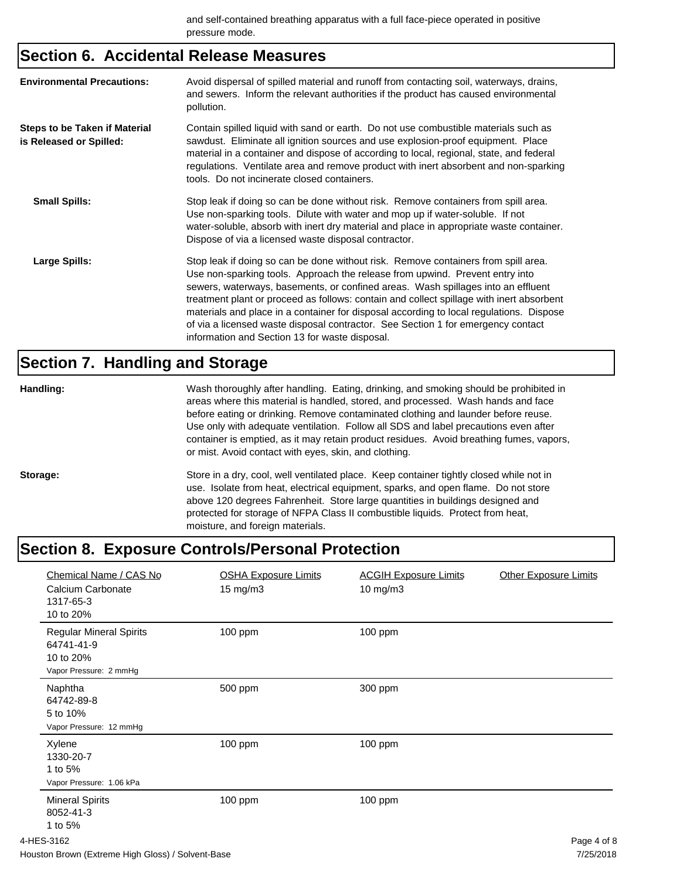#### **Section 6. Accidental Release Measures**

| <b>Environmental Precautions:</b>                        | Avoid dispersal of spilled material and runoff from contacting soil, waterways, drains,<br>and sewers. Inform the relevant authorities if the product has caused environmental<br>pollution.                                                                                                                                                                                                                                                                                                                                                                                        |
|----------------------------------------------------------|-------------------------------------------------------------------------------------------------------------------------------------------------------------------------------------------------------------------------------------------------------------------------------------------------------------------------------------------------------------------------------------------------------------------------------------------------------------------------------------------------------------------------------------------------------------------------------------|
| Steps to be Taken if Material<br>is Released or Spilled: | Contain spilled liquid with sand or earth. Do not use combustible materials such as<br>sawdust. Eliminate all ignition sources and use explosion-proof equipment. Place<br>material in a container and dispose of according to local, regional, state, and federal<br>regulations. Ventilate area and remove product with inert absorbent and non-sparking<br>tools. Do not incinerate closed containers.                                                                                                                                                                           |
| <b>Small Spills:</b>                                     | Stop leak if doing so can be done without risk. Remove containers from spill area.<br>Use non-sparking tools. Dilute with water and mop up if water-soluble. If not<br>water-soluble, absorb with inert dry material and place in appropriate waste container.<br>Dispose of via a licensed waste disposal contractor.                                                                                                                                                                                                                                                              |
| Large Spills:                                            | Stop leak if doing so can be done without risk. Remove containers from spill area.<br>Use non-sparking tools. Approach the release from upwind. Prevent entry into<br>sewers, waterways, basements, or confined areas. Wash spillages into an effluent<br>treatment plant or proceed as follows: contain and collect spillage with inert absorbent<br>materials and place in a container for disposal according to local regulations. Dispose<br>of via a licensed waste disposal contractor. See Section 1 for emergency contact<br>information and Section 13 for waste disposal. |

## **Section 7. Handling and Storage**

| Handling: | Wash thoroughly after handling. Eating, drinking, and smoking should be prohibited in<br>areas where this material is handled, stored, and processed. Wash hands and face<br>before eating or drinking. Remove contaminated clothing and launder before reuse.<br>Use only with adequate ventilation. Follow all SDS and label precautions even after<br>container is emptied, as it may retain product residues. Avoid breathing fumes, vapors,<br>or mist. Avoid contact with eyes, skin, and clothing. |
|-----------|-----------------------------------------------------------------------------------------------------------------------------------------------------------------------------------------------------------------------------------------------------------------------------------------------------------------------------------------------------------------------------------------------------------------------------------------------------------------------------------------------------------|
| Storage:  | Store in a dry, cool, well ventilated place. Keep container tightly closed while not in<br>use. Isolate from heat, electrical equipment, sparks, and open flame. Do not store<br>above 120 degrees Fahrenheit. Store large quantities in buildings designed and<br>protected for storage of NFPA Class II combustible liquids. Protect from heat,<br>moisture, and foreign materials.                                                                                                                     |

## **Section 8. Exposure Controls/Personal Protection**

| Chemical Name / CAS No<br>Calcium Carbonate<br>1317-65-3<br>10 to 20%               | <b>OSHA Exposure Limits</b><br>$15 \text{ mg/m}$ | <b>ACGIH Exposure Limits</b><br>10 mg/m3 | <b>Other Exposure Limits</b> |
|-------------------------------------------------------------------------------------|--------------------------------------------------|------------------------------------------|------------------------------|
| <b>Regular Mineral Spirits</b><br>64741-41-9<br>10 to 20%<br>Vapor Pressure: 2 mmHg | 100 ppm                                          | 100 ppm                                  |                              |
| Naphtha<br>64742-89-8<br>5 to 10%<br>Vapor Pressure: 12 mmHg                        | 500 ppm                                          | 300 ppm                                  |                              |
| Xylene<br>1330-20-7<br>1 to 5%<br>Vapor Pressure: 1.06 kPa                          | 100 ppm                                          | 100 ppm                                  |                              |
| <b>Mineral Spirits</b><br>8052-41-3<br>1 to 5%                                      | 100 ppm                                          | 100 ppm                                  |                              |
| 4-HES-3162                                                                          |                                                  |                                          | Page 4 of 8                  |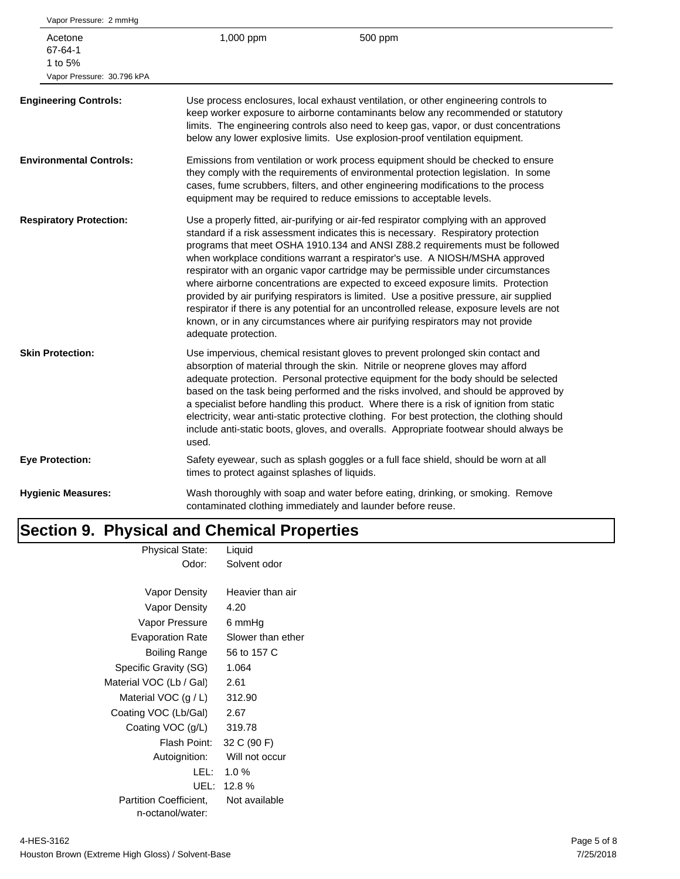| Vapor Pressure: 2 mmHg                                      |                                               |                                                                                                                                                                                                                                                                                                                                                                                                                                                                                                                                                                                                                                                                                                                                                                                               |
|-------------------------------------------------------------|-----------------------------------------------|-----------------------------------------------------------------------------------------------------------------------------------------------------------------------------------------------------------------------------------------------------------------------------------------------------------------------------------------------------------------------------------------------------------------------------------------------------------------------------------------------------------------------------------------------------------------------------------------------------------------------------------------------------------------------------------------------------------------------------------------------------------------------------------------------|
| Acetone<br>67-64-1<br>1 to 5%<br>Vapor Pressure: 30.796 kPA | 1,000 ppm                                     | 500 ppm                                                                                                                                                                                                                                                                                                                                                                                                                                                                                                                                                                                                                                                                                                                                                                                       |
| <b>Engineering Controls:</b>                                |                                               | Use process enclosures, local exhaust ventilation, or other engineering controls to<br>keep worker exposure to airborne contaminants below any recommended or statutory<br>limits. The engineering controls also need to keep gas, vapor, or dust concentrations<br>below any lower explosive limits. Use explosion-proof ventilation equipment.                                                                                                                                                                                                                                                                                                                                                                                                                                              |
| <b>Environmental Controls:</b>                              |                                               | Emissions from ventilation or work process equipment should be checked to ensure<br>they comply with the requirements of environmental protection legislation. In some<br>cases, fume scrubbers, filters, and other engineering modifications to the process<br>equipment may be required to reduce emissions to acceptable levels.                                                                                                                                                                                                                                                                                                                                                                                                                                                           |
| <b>Respiratory Protection:</b>                              | adequate protection.                          | Use a properly fitted, air-purifying or air-fed respirator complying with an approved<br>standard if a risk assessment indicates this is necessary. Respiratory protection<br>programs that meet OSHA 1910.134 and ANSI Z88.2 requirements must be followed<br>when workplace conditions warrant a respirator's use. A NIOSH/MSHA approved<br>respirator with an organic vapor cartridge may be permissible under circumstances<br>where airborne concentrations are expected to exceed exposure limits. Protection<br>provided by air purifying respirators is limited. Use a positive pressure, air supplied<br>respirator if there is any potential for an uncontrolled release, exposure levels are not<br>known, or in any circumstances where air purifying respirators may not provide |
| <b>Skin Protection:</b>                                     | used.                                         | Use impervious, chemical resistant gloves to prevent prolonged skin contact and<br>absorption of material through the skin. Nitrile or neoprene gloves may afford<br>adequate protection. Personal protective equipment for the body should be selected<br>based on the task being performed and the risks involved, and should be approved by<br>a specialist before handling this product. Where there is a risk of ignition from static<br>electricity, wear anti-static protective clothing. For best protection, the clothing should<br>include anti-static boots, gloves, and overalls. Appropriate footwear should always be                                                                                                                                                           |
| <b>Eye Protection:</b>                                      | times to protect against splashes of liquids. | Safety eyewear, such as splash goggles or a full face shield, should be worn at all                                                                                                                                                                                                                                                                                                                                                                                                                                                                                                                                                                                                                                                                                                           |
| <b>Hygienic Measures:</b>                                   |                                               | Wash thoroughly with soap and water before eating, drinking, or smoking. Remove<br>contaminated clothing immediately and launder before reuse.                                                                                                                                                                                                                                                                                                                                                                                                                                                                                                                                                                                                                                                |

## **Section 9. Physical and Chemical Properties**

| <b>Physical State:</b>        | Liquid            |
|-------------------------------|-------------------|
| Odor:                         | Solvent odor      |
|                               |                   |
| Vapor Density                 | Heavier than air  |
| Vapor Density                 | 4.20              |
| Vapor Pressure                | 6 mmHq            |
| <b>Evaporation Rate</b>       | Slower than ether |
| Boiling Range                 | 56 to 157 C       |
| Specific Gravity (SG)         | 1.064             |
| Material VOC (Lb / Gal)       | 2.61              |
| Material VOC $(g/L)$          | 312.90            |
| Coating VOC (Lb/Gal)          | 2.67              |
| Coating VOC (g/L)             | 319.78            |
| Flash Point:                  | 32 C (90 F)       |
| Autoignition:                 | Will not occur    |
| LEL:                          | $1.0 \%$          |
| UEL:                          | 12.8%             |
| <b>Partition Coefficient.</b> | Not available     |
| n-octanol/water:              |                   |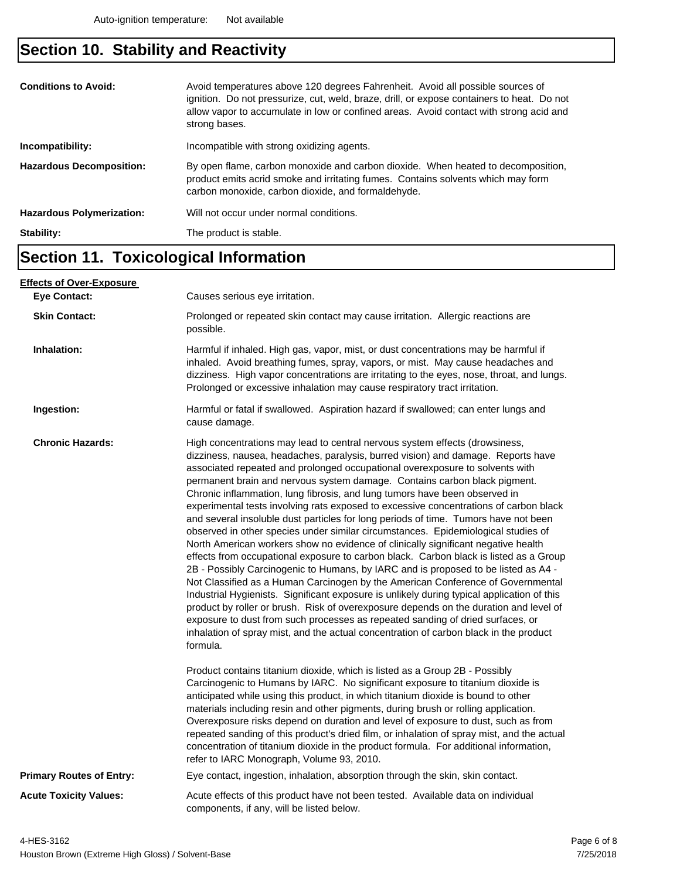## **Section 10. Stability and Reactivity**

| strong bases.                                                                                                                                                                                                                                                 |  |
|---------------------------------------------------------------------------------------------------------------------------------------------------------------------------------------------------------------------------------------------------------------|--|
| Incompatible with strong oxidizing agents.<br>Incompatibility:                                                                                                                                                                                                |  |
| By open flame, carbon monoxide and carbon dioxide. When heated to decomposition,<br><b>Hazardous Decomposition:</b><br>product emits acrid smoke and irritating fumes. Contains solvents which may form<br>carbon monoxide, carbon dioxide, and formaldehyde. |  |
| Will not occur under normal conditions.<br><b>Hazardous Polymerization:</b>                                                                                                                                                                                   |  |
| Stability:<br>The product is stable.                                                                                                                                                                                                                          |  |

#### **Section 11. Toxicological Information**

| <b>Effects of Over-Exposure</b> |                                                                                                                                                                                                                                                                                                                                                                                                                                                                                                                                                                                                                                                                                                                                                                                                                                                                                                                                                                                                                                                                                                                                                                                                                                                                                                                                                                                                                      |  |
|---------------------------------|----------------------------------------------------------------------------------------------------------------------------------------------------------------------------------------------------------------------------------------------------------------------------------------------------------------------------------------------------------------------------------------------------------------------------------------------------------------------------------------------------------------------------------------------------------------------------------------------------------------------------------------------------------------------------------------------------------------------------------------------------------------------------------------------------------------------------------------------------------------------------------------------------------------------------------------------------------------------------------------------------------------------------------------------------------------------------------------------------------------------------------------------------------------------------------------------------------------------------------------------------------------------------------------------------------------------------------------------------------------------------------------------------------------------|--|
| <b>Eye Contact:</b>             | Causes serious eye irritation.                                                                                                                                                                                                                                                                                                                                                                                                                                                                                                                                                                                                                                                                                                                                                                                                                                                                                                                                                                                                                                                                                                                                                                                                                                                                                                                                                                                       |  |
| <b>Skin Contact:</b>            | Prolonged or repeated skin contact may cause irritation. Allergic reactions are<br>possible.                                                                                                                                                                                                                                                                                                                                                                                                                                                                                                                                                                                                                                                                                                                                                                                                                                                                                                                                                                                                                                                                                                                                                                                                                                                                                                                         |  |
| Inhalation:                     | Harmful if inhaled. High gas, vapor, mist, or dust concentrations may be harmful if<br>inhaled. Avoid breathing fumes, spray, vapors, or mist. May cause headaches and<br>dizziness. High vapor concentrations are irritating to the eyes, nose, throat, and lungs.<br>Prolonged or excessive inhalation may cause respiratory tract irritation.                                                                                                                                                                                                                                                                                                                                                                                                                                                                                                                                                                                                                                                                                                                                                                                                                                                                                                                                                                                                                                                                     |  |
| Ingestion:                      | Harmful or fatal if swallowed. Aspiration hazard if swallowed; can enter lungs and<br>cause damage.                                                                                                                                                                                                                                                                                                                                                                                                                                                                                                                                                                                                                                                                                                                                                                                                                                                                                                                                                                                                                                                                                                                                                                                                                                                                                                                  |  |
| <b>Chronic Hazards:</b>         | High concentrations may lead to central nervous system effects (drowsiness,<br>dizziness, nausea, headaches, paralysis, burred vision) and damage. Reports have<br>associated repeated and prolonged occupational overexposure to solvents with<br>permanent brain and nervous system damage. Contains carbon black pigment.<br>Chronic inflammation, lung fibrosis, and lung tumors have been observed in<br>experimental tests involving rats exposed to excessive concentrations of carbon black<br>and several insoluble dust particles for long periods of time. Tumors have not been<br>observed in other species under similar circumstances. Epidemiological studies of<br>North American workers show no evidence of clinically significant negative health<br>effects from occupational exposure to carbon black. Carbon black is listed as a Group<br>2B - Possibly Carcinogenic to Humans, by IARC and is proposed to be listed as A4 -<br>Not Classified as a Human Carcinogen by the American Conference of Governmental<br>Industrial Hygienists. Significant exposure is unlikely during typical application of this<br>product by roller or brush. Risk of overexposure depends on the duration and level of<br>exposure to dust from such processes as repeated sanding of dried surfaces, or<br>inhalation of spray mist, and the actual concentration of carbon black in the product<br>formula. |  |
|                                 | Product contains titanium dioxide, which is listed as a Group 2B - Possibly<br>Carcinogenic to Humans by IARC. No significant exposure to titanium dioxide is<br>anticipated while using this product, in which titanium dioxide is bound to other<br>materials including resin and other pigments, during brush or rolling application.<br>Overexposure risks depend on duration and level of exposure to dust, such as from<br>repeated sanding of this product's dried film, or inhalation of spray mist, and the actual<br>concentration of titanium dioxide in the product formula. For additional information,<br>refer to IARC Monograph, Volume 93, 2010.                                                                                                                                                                                                                                                                                                                                                                                                                                                                                                                                                                                                                                                                                                                                                    |  |
| <b>Primary Routes of Entry:</b> | Eye contact, ingestion, inhalation, absorption through the skin, skin contact.                                                                                                                                                                                                                                                                                                                                                                                                                                                                                                                                                                                                                                                                                                                                                                                                                                                                                                                                                                                                                                                                                                                                                                                                                                                                                                                                       |  |
| <b>Acute Toxicity Values:</b>   | Acute effects of this product have not been tested. Available data on individual<br>components, if any, will be listed below.                                                                                                                                                                                                                                                                                                                                                                                                                                                                                                                                                                                                                                                                                                                                                                                                                                                                                                                                                                                                                                                                                                                                                                                                                                                                                        |  |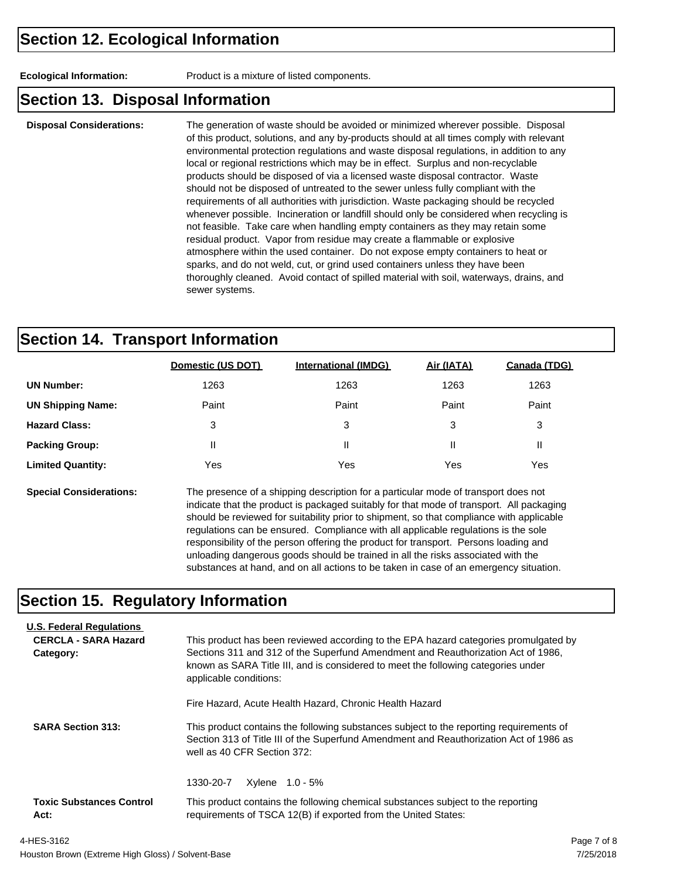**Ecological Information:** Product is a mixture of listed components.

#### **Section 13. Disposal Information**

**Disposal Considerations:** The generation of waste should be avoided or minimized wherever possible. Disposal of this product, solutions, and any by-products should at all times comply with relevant environmental protection regulations and waste disposal regulations, in addition to any local or regional restrictions which may be in effect. Surplus and non-recyclable products should be disposed of via a licensed waste disposal contractor. Waste should not be disposed of untreated to the sewer unless fully compliant with the requirements of all authorities with jurisdiction. Waste packaging should be recycled whenever possible. Incineration or landfill should only be considered when recycling is not feasible. Take care when handling empty containers as they may retain some residual product. Vapor from residue may create a flammable or explosive atmosphere within the used container. Do not expose empty containers to heat or sparks, and do not weld, cut, or grind used containers unless they have been thoroughly cleaned. Avoid contact of spilled material with soil, waterways, drains, and sewer systems.

#### **Section 14. Transport Information**

|                          | Domestic (US DOT) | <b>International (IMDG)</b> | Air (IATA) | Canada (TDG) |
|--------------------------|-------------------|-----------------------------|------------|--------------|
| <b>UN Number:</b>        | 1263              | 1263                        | 1263       | 1263         |
| <b>UN Shipping Name:</b> | Paint             | Paint                       | Paint      | Paint        |
| <b>Hazard Class:</b>     | 3                 | 3                           | 3          | 3            |
| <b>Packing Group:</b>    | Ш                 | Ш                           | Ш          | Ш            |
| <b>Limited Quantity:</b> | Yes               | Yes                         | Yes        | Yes          |
|                          |                   |                             |            |              |

**Special Considerations:** The presence of a shipping description for a particular mode of transport does not indicate that the product is packaged suitably for that mode of transport. All packaging should be reviewed for suitability prior to shipment, so that compliance with applicable regulations can be ensured. Compliance with all applicable regulations is the sole responsibility of the person offering the product for transport. Persons loading and unloading dangerous goods should be trained in all the risks associated with the substances at hand, and on all actions to be taken in case of an emergency situation.

#### **Section 15. Regulatory Information**

| <b>U.S. Federal Regulations</b><br><b>CERCLA - SARA Hazard</b><br>Category: | This product has been reviewed according to the EPA hazard categories promulgated by<br>Sections 311 and 312 of the Superfund Amendment and Reauthorization Act of 1986.<br>known as SARA Title III, and is considered to meet the following categories under<br>applicable conditions: |  |  |
|-----------------------------------------------------------------------------|-----------------------------------------------------------------------------------------------------------------------------------------------------------------------------------------------------------------------------------------------------------------------------------------|--|--|
|                                                                             | Fire Hazard, Acute Health Hazard, Chronic Health Hazard                                                                                                                                                                                                                                 |  |  |
| <b>SARA Section 313:</b>                                                    | This product contains the following substances subject to the reporting requirements of<br>Section 313 of Title III of the Superfund Amendment and Reauthorization Act of 1986 as<br>well as 40 CFR Section 372:                                                                        |  |  |
|                                                                             | 1330-20-7<br>Xylene 1.0 - 5%                                                                                                                                                                                                                                                            |  |  |
| <b>Toxic Substances Control</b><br>Act:                                     | This product contains the following chemical substances subject to the reporting<br>requirements of TSCA 12(B) if exported from the United States:                                                                                                                                      |  |  |